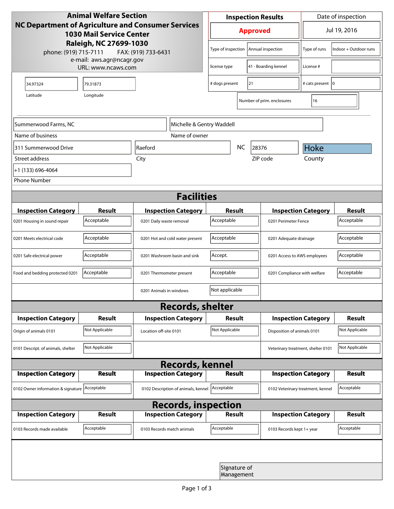| <b>Animal Welfare Section</b><br>NC Department of Agriculture and Consumer Services<br><b>1030 Mail Service Center</b><br>Raleigh, NC 27699-1030 |                     |                                 |                                     | <b>Inspection Results</b>  |                   |                                    | Date of inspection           |                |  |
|--------------------------------------------------------------------------------------------------------------------------------------------------|---------------------|---------------------------------|-------------------------------------|----------------------------|-------------------|------------------------------------|------------------------------|----------------|--|
|                                                                                                                                                  |                     |                                 |                                     | <b>Approved</b>            |                   |                                    | Jul 19, 2016                 |                |  |
| phone: (919) 715-7111                                                                                                                            | FAX: (919) 733-6431 |                                 | Type of inspection                  |                            | Annual inspection | Type of runs                       | Indoor + Outdoor runs        |                |  |
| e-mail: aws.agr@ncagr.gov<br>URL: www.ncaws.com                                                                                                  |                     |                                 |                                     | license type               |                   | 41 - Boarding kennel               | License #                    |                |  |
| 34.97324                                                                                                                                         | 79.31873            |                                 | 21<br># dogs present                |                            |                   | # cats present   0                 |                              |                |  |
| Latitude                                                                                                                                         | Longitude           |                                 |                                     |                            |                   | Number of prim. enclosures         | 16                           |                |  |
| Summerwood Farms, NC<br>Michelle & Gentry Waddell                                                                                                |                     |                                 |                                     |                            |                   |                                    |                              |                |  |
| Name of business                                                                                                                                 |                     |                                 | Name of owner                       |                            |                   |                                    |                              |                |  |
| 311 Summerwood Drive                                                                                                                             |                     | Raeford                         |                                     |                            | NC                | 28376                              | Hoke                         |                |  |
| Street address                                                                                                                                   |                     | City                            |                                     |                            |                   | ZIP code                           | County                       |                |  |
| +1 (133) 696-4064                                                                                                                                |                     |                                 |                                     |                            |                   |                                    |                              |                |  |
| <b>Phone Number</b>                                                                                                                              |                     |                                 |                                     |                            |                   |                                    |                              |                |  |
| <b>Facilities</b>                                                                                                                                |                     |                                 |                                     |                            |                   |                                    |                              |                |  |
| <b>Inspection Category</b>                                                                                                                       | <b>Result</b>       |                                 | <b>Inspection Category</b>          | <b>Result</b>              |                   |                                    | <b>Inspection Category</b>   |                |  |
| 0201 Housing in sound repair                                                                                                                     | Acceptable          | 0201 Daily waste removal        |                                     | Acceptable                 |                   |                                    | 0201 Perimeter Fence         |                |  |
| 0201 Meets electrical code                                                                                                                       | Acceptable          | 0201 Hot and cold water present | Acceptable                          |                            |                   | 0201 Adequate drainage             |                              |                |  |
| 0201 Safe electrical power                                                                                                                       | Acceptable          | 0201 Washroom basin and sink    |                                     | Accept.                    |                   |                                    | 0201 Access to AWS employees |                |  |
| Food and bedding protected 0201                                                                                                                  | Acceptable          | 0201 Thermometer present        |                                     | Acceptable                 |                   |                                    | 0201 Compliance with welfare |                |  |
|                                                                                                                                                  |                     | 0201 Animals in windows         |                                     | Not applicable             |                   |                                    |                              |                |  |
|                                                                                                                                                  |                     |                                 | <b>Records, shelter</b>             |                            |                   |                                    |                              |                |  |
| <b>Inspection Category</b>                                                                                                                       | <b>Result</b>       |                                 | <b>Inspection Category</b>          | Result                     |                   |                                    | <b>Inspection Category</b>   | <b>Result</b>  |  |
| Origin of animals 0101                                                                                                                           | Not Applicable      | Location off-site 0101          |                                     | Not Applicable             |                   | Disposition of animals 0101        |                              | Not Applicable |  |
| 0101 Descript. of animals, shelter                                                                                                               | Not Applicable      |                                 |                                     |                            |                   | Veterinary treatment, shelter 0101 |                              | Not Applicable |  |
| <b>Records, kennel</b>                                                                                                                           |                     |                                 |                                     |                            |                   |                                    |                              |                |  |
| <b>Inspection Category</b>                                                                                                                       | Result              |                                 | <b>Inspection Category</b>          | <b>Result</b>              |                   |                                    | <b>Inspection Category</b>   | Result         |  |
| 0102 Owner information & signature Acceptable                                                                                                    |                     |                                 | 0102 Description of animals, kennel | Acceptable                 |                   | 0102 Veterinary treatment, kennel  |                              | Acceptable     |  |
| <b>Records, inspection</b>                                                                                                                       |                     |                                 |                                     |                            |                   |                                    |                              |                |  |
| <b>Inspection Category</b>                                                                                                                       | <b>Result</b>       |                                 | <b>Inspection Category</b>          | <b>Result</b>              |                   |                                    | <b>Inspection Category</b>   | <b>Result</b>  |  |
| 0103 Records made available                                                                                                                      | Acceptable          | 0103 Records match animals      |                                     | Acceptable                 |                   | 0103 Records kept 1+ year          |                              | Acceptable     |  |
|                                                                                                                                                  |                     |                                 |                                     |                            |                   |                                    |                              |                |  |
|                                                                                                                                                  |                     |                                 |                                     | Signature of<br>Management |                   |                                    |                              |                |  |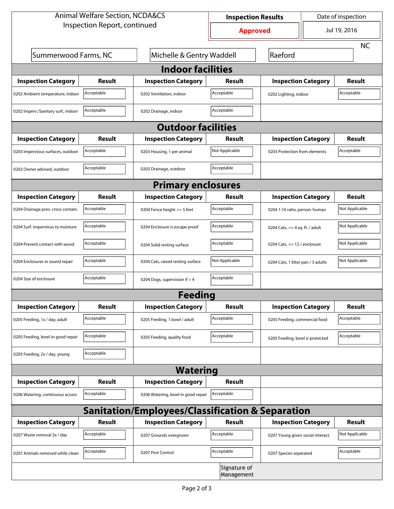| <b>Animal Welfare Section, NCDA&amp;CS</b>                  |                           |                                    | <b>Inspection Results</b> |                                     | Date of inspection |                |  |  |  |
|-------------------------------------------------------------|---------------------------|------------------------------------|---------------------------|-------------------------------------|--------------------|----------------|--|--|--|
| Inspection Report, continued                                |                           |                                    | <b>Approved</b>           |                                     | Jul 19, 2016       |                |  |  |  |
|                                                             |                           |                                    |                           |                                     |                    | <b>NC</b>      |  |  |  |
| Summerwood Farms, NC                                        | Michelle & Gentry Waddell |                                    | Raeford                   |                                     |                    |                |  |  |  |
| <b>Indoor facilities</b>                                    |                           |                                    |                           |                                     |                    |                |  |  |  |
| <b>Inspection Category</b>                                  | <b>Result</b>             | <b>Inspection Category</b>         | Result                    | <b>Inspection Category</b>          |                    | <b>Result</b>  |  |  |  |
| 0202 Ambient temperature, indoor                            | Acceptable                | 0202 Ventilation, indoor           | Acceptable                | Acceptable<br>0202 Lighting, indoor |                    |                |  |  |  |
| 0202 Imperv./Sanitary surf., indoor                         | Acceptable                | 0202 Drainage, indoor              | Acceptable                |                                     |                    |                |  |  |  |
|                                                             |                           | <b>Outdoor facilities</b>          |                           |                                     |                    |                |  |  |  |
| <b>Inspection Category</b>                                  | <b>Result</b>             | <b>Inspection Category</b>         | Result                    | <b>Inspection Category</b>          |                    | <b>Result</b>  |  |  |  |
| 0203 Impervious surfaces, outdoor                           | Acceptable                | 0203 Housing, 1 per animal         | Not Applicable            | 0203 Protection from elements       |                    | Acceptable     |  |  |  |
| 0203 Owner advised, outdoor                                 | Acceptable                | 0203 Drainage, outdoor             | Acceptable                |                                     |                    |                |  |  |  |
| <b>Primary enclosures</b>                                   |                           |                                    |                           |                                     |                    |                |  |  |  |
| <b>Inspection Category</b>                                  | <b>Result</b>             | <b>Inspection Category</b>         | Result                    | <b>Inspection Category</b>          |                    | <b>Result</b>  |  |  |  |
| 0204 Drainage prev. cross contam.                           | Acceptable                | 0204 Fence height >= 5 feet        | Acceptable                | 0204 1:10 ratio, person: human      |                    | Not Applicable |  |  |  |
| 0204 Surf. impervious to moisture                           | Acceptable                | 0204 Enclosure is escape proof     | Acceptable                | 0204 Cats, $>=$ 4 sq. ft. / adult   |                    | Not Applicable |  |  |  |
| 0204 Prevent contact with wood                              | Acceptable                | 0204 Solid resting surface         | Acceptable                | 0204 Cats, $<= 12$ / enclosure      |                    | Not Applicable |  |  |  |
| 0204 Enclosures in sound repair                             | Acceptable                | 0204 Cats, raised resting surface  | Not Applicable            | 0204 Cats, 1 litter pan / 3 adults  |                    | Not Applicable |  |  |  |
| 0204 Size of enclosure                                      | Acceptable                | 0204 Dogs, supervision if > 4      | Acceptable                |                                     |                    |                |  |  |  |
|                                                             |                           | Feeding                            |                           |                                     |                    |                |  |  |  |
| <b>Inspection Category</b>                                  | <b>Result</b>             | <b>Inspection Category</b>         | <b>Result</b>             | <b>Inspection Category</b>          |                    | <b>Result</b>  |  |  |  |
| 0205 Feeding, 1x / day, adult                               | Acceptable                | 0205 Feeding, 1 bowl / adult       | Acceptable                | 0205 Feeding, commercial food       |                    | Acceptable     |  |  |  |
| 0205 Feeding, bowl in good repair                           | Acceptable                | 0205 Feeding, quality food         | Acceptable                | 0205 Feeding, bowl is protected     |                    | Acceptable     |  |  |  |
| 0205 Feeding, 2x / day, young                               | Acceptable                |                                    |                           |                                     |                    |                |  |  |  |
| <b>Watering</b>                                             |                           |                                    |                           |                                     |                    |                |  |  |  |
| <b>Inspection Category</b>                                  | Result                    | <b>Inspection Category</b>         | <b>Result</b>             |                                     |                    |                |  |  |  |
| 0206 Watering, continuous access                            | Acceptable                | 0206 Watering, bowl in good repair | Acceptable                |                                     |                    |                |  |  |  |
| <b>Sanitation/Employees/Classification &amp; Separation</b> |                           |                                    |                           |                                     |                    |                |  |  |  |
| <b>Inspection Category</b>                                  | <b>Result</b>             | <b>Inspection Category</b>         | <b>Result</b>             | <b>Inspection Category</b>          |                    | <b>Result</b>  |  |  |  |
| 0207 Waste removal 2x / day                                 | Acceptable                | 0207 Grounds overgrown             | Acceptable                | 0207 Young given social interact.   |                    | Not Applicable |  |  |  |
| 0207 Animals removed while clean                            | Acceptable                | 0207 Pest Control                  | Acceptable                | 0207 Species separated              |                    | Acceptable     |  |  |  |
| Signature of<br>Management                                  |                           |                                    |                           |                                     |                    |                |  |  |  |